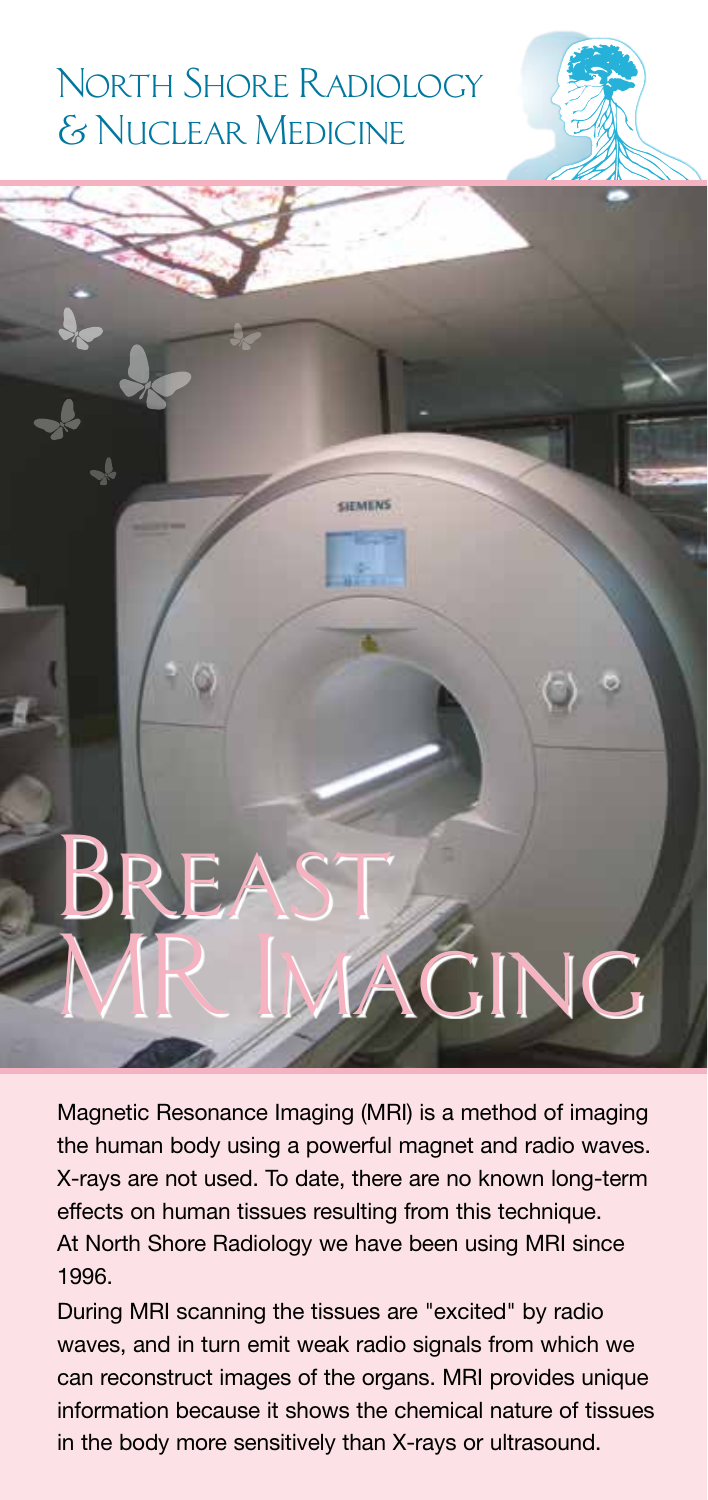# North Shore Radiology & Nuclear Medicine



Magnetic Resonance Imaging (MRI) is a method of imaging the human body using a powerful magnet and radio waves. X-rays are not used. To date, there are no known long-term effects on human tissues resulting from this technique. At North Shore Radiology we have been using MRI since 1996.

During MRI scanning the tissues are "excited" by radio waves, and in turn emit weak radio signals from which we can reconstruct images of the organs. MRI provides unique information because it shows the chemical nature of tissues in the body more sensitively than X-rays or ultrasound.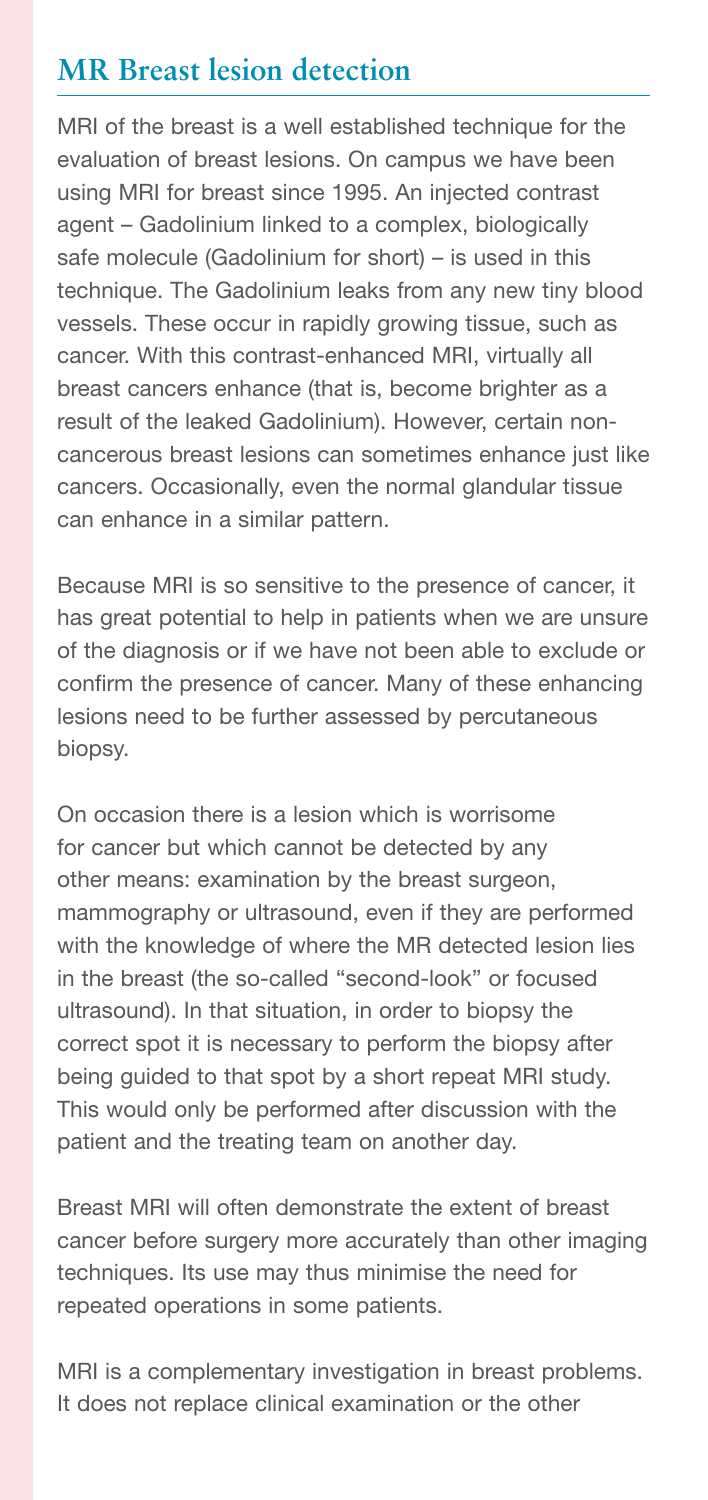#### **MR Breast lesion detection**

MRI of the breast is a well established technique for the evaluation of breast lesions. On campus we have been using MRI for breast since 1995. An injected contrast agent – Gadolinium linked to a complex, biologically safe molecule (Gadolinium for short) – is used in this technique. The Gadolinium leaks from any new tiny blood vessels. These occur in rapidly growing tissue, such as cancer. With this contrast-enhanced MRI, virtually all breast cancers enhance (that is, become brighter as a result of the leaked Gadolinium). However, certain noncancerous breast lesions can sometimes enhance just like cancers. Occasionally, even the normal glandular tissue can enhance in a similar pattern.

Because MRI is so sensitive to the presence of cancer, it has great potential to help in patients when we are unsure of the diagnosis or if we have not been able to exclude or confirm the presence of cancer. Many of these enhancing lesions need to be further assessed by percutaneous biopsy.

On occasion there is a lesion which is worrisome for cancer but which cannot be detected by any other means: examination by the breast surgeon, mammography or ultrasound, even if they are performed with the knowledge of where the MR detected lesion lies in the breast (the so-called "second-look" or focused ultrasound). In that situation, in order to biopsy the correct spot it is necessary to perform the biopsy after being guided to that spot by a short repeat MRI study. This would only be performed after discussion with the patient and the treating team on another day.

Breast MRI will often demonstrate the extent of breast cancer before surgery more accurately than other imaging techniques. Its use may thus minimise the need for repeated operations in some patients.

MRI is a complementary investigation in breast problems. It does not replace clinical examination or the other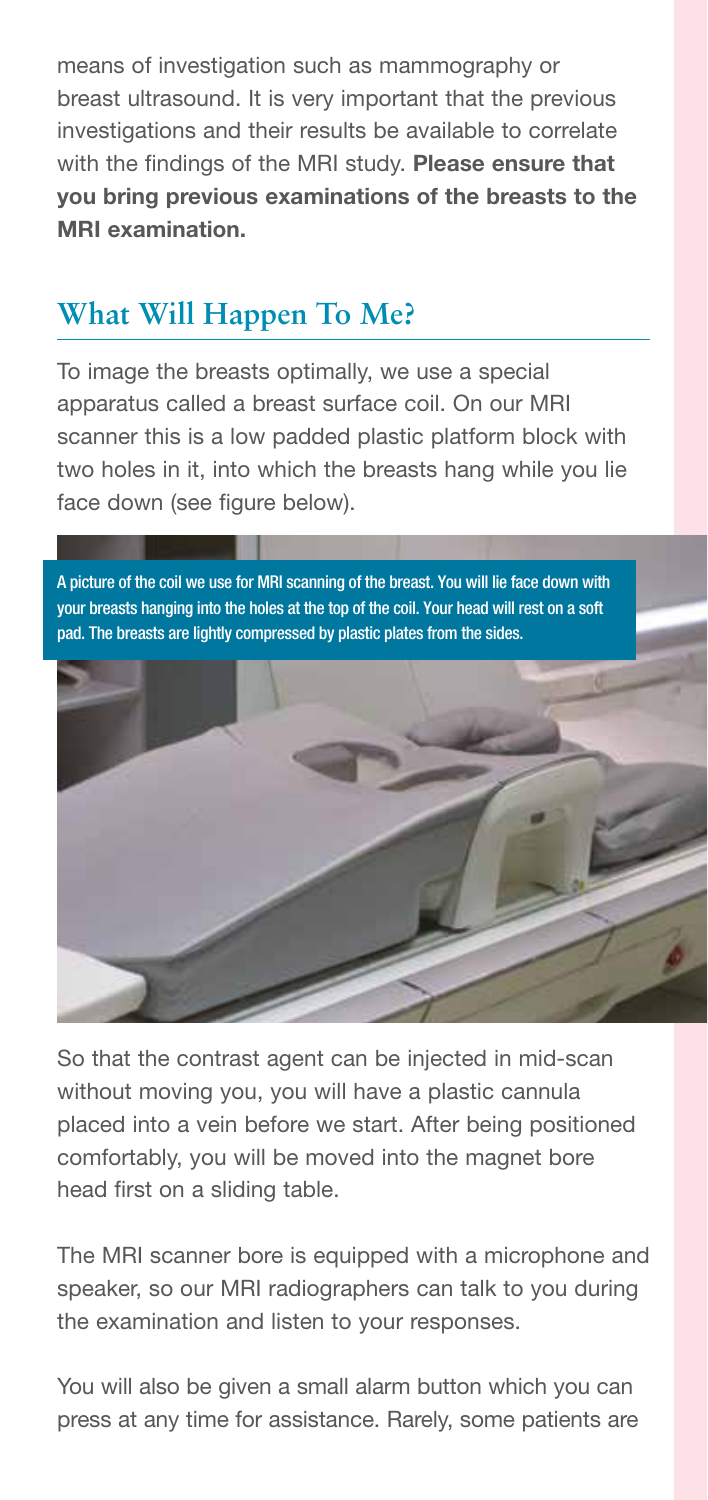means of investigation such as mammography or breast ultrasound. It is very important that the previous investigations and their results be available to correlate with the findings of the MRI study. Please ensure that you bring previous examinations of the breasts to the MRI examination.

## **What Will Happen To Me?**

To image the breasts optimally, we use a special apparatus called a breast surface coil. On our MRI scanner this is a low padded plastic platform block with two holes in it, into which the breasts hang while you lie face down (see figure below).

A picture of the coil we use for MRI scanning of the breast. You will lie face down with your breasts hanging into the holes at the top of the coil. Your head will rest on a soft pad. The breasts are lightly compressed by plastic plates from the sides.



So that the contrast agent can be injected in mid-scan without moving you, you will have a plastic cannula placed into a vein before we start. After being positioned comfortably, you will be moved into the magnet bore head first on a sliding table.

The MRI scanner bore is equipped with a microphone and speaker, so our MRI radiographers can talk to you during the examination and listen to your responses.

You will also be given a small alarm button which you can press at any time for assistance. Rarely, some patients are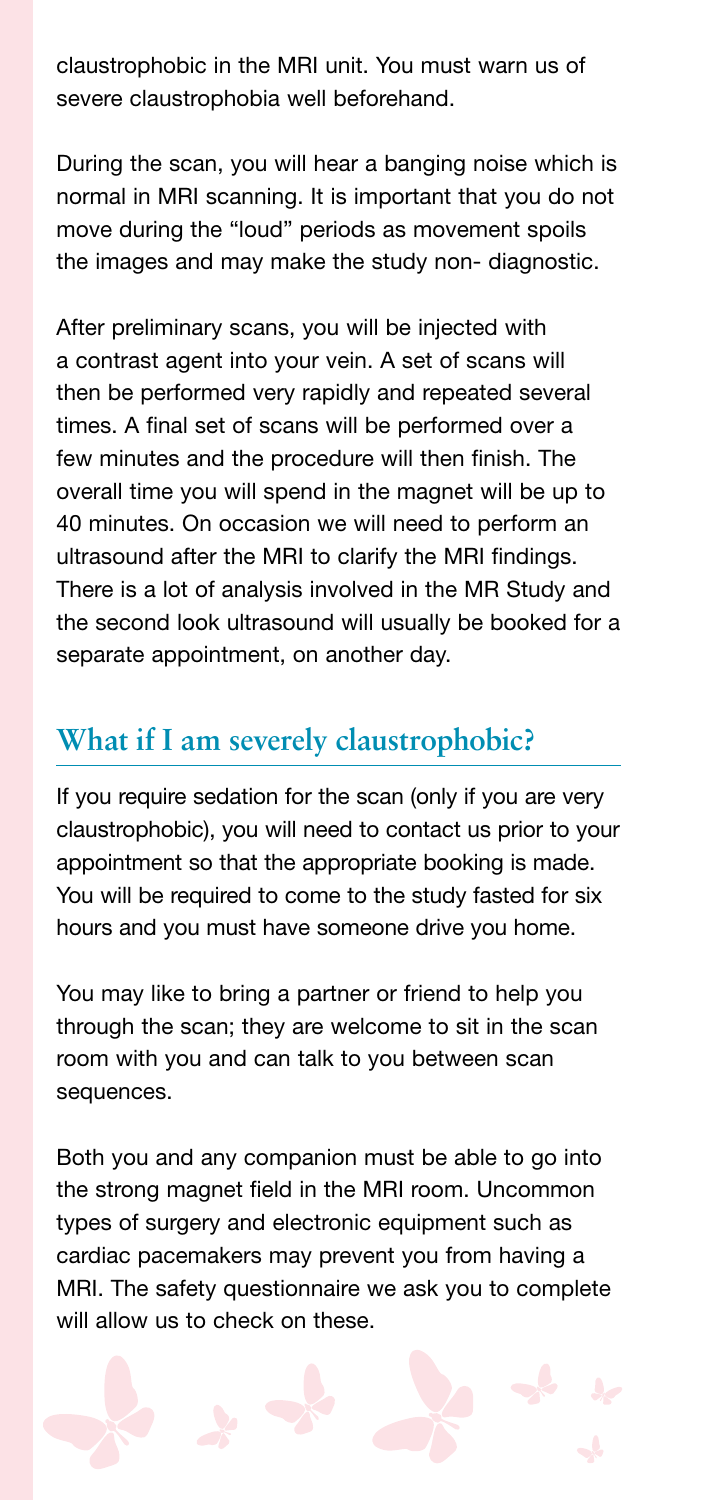claustrophobic in the MRI unit. You must warn us of severe claustrophobia well beforehand.

During the scan, you will hear a banging noise which is normal in MRI scanning. It is important that you do not move during the "loud" periods as movement spoils the images and may make the study non- diagnostic.

After preliminary scans, you will be injected with a contrast agent into your vein. A set of scans will then be performed very rapidly and repeated several times. A final set of scans will be performed over a few minutes and the procedure will then finish. The overall time you will spend in the magnet will be up to 40 minutes. On occasion we will need to perform an ultrasound after the MRI to clarify the MRI findings. There is a lot of analysis involved in the MR Study and the second look ultrasound will usually be booked for a separate appointment, on another day.

#### **What if I am severely claustrophobic?**

If you require sedation for the scan (only if you are very claustrophobic), you will need to contact us prior to your appointment so that the appropriate booking is made. You will be required to come to the study fasted for six hours and you must have someone drive you home.

You may like to bring a partner or friend to help you through the scan; they are welcome to sit in the scan room with you and can talk to you between scan sequences.

Both you and any companion must be able to go into the strong magnet field in the MRI room. Uncommon types of surgery and electronic equipment such as cardiac pacemakers may prevent you from having a MRI. The safety questionnaire we ask you to complete will allow us to check on these.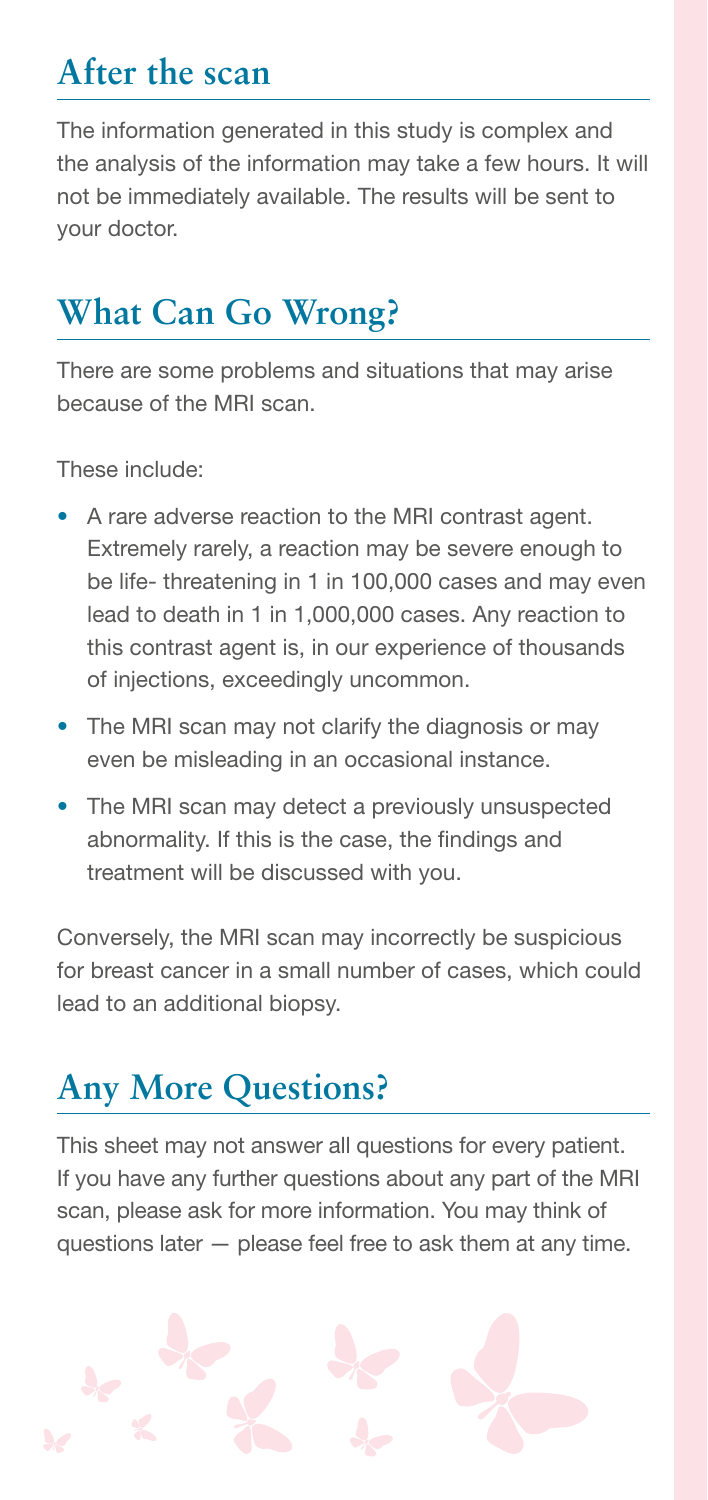## **After the scan**

The information generated in this study is complex and the analysis of the information may take a few hours. It will not be immediately available. The results will be sent to your doctor.

# **What Can Go Wrong?**

There are some problems and situations that may arise because of the MRI scan.

These include:

- A rare adverse reaction to the MRI contrast agent. Extremely rarely, a reaction may be severe enough to be life- threatening in 1 in 100,000 cases and may even lead to death in 1 in 1,000,000 cases. Any reaction to this contrast agent is, in our experience of thousands of injections, exceedingly uncommon.
- The MRI scan may not clarify the diagnosis or may even be misleading in an occasional instance.
- The MRI scan may detect a previously unsuspected abnormality. If this is the case, the findings and treatment will be discussed with you.

Conversely, the MRI scan may incorrectly be suspicious for breast cancer in a small number of cases, which could lead to an additional biopsy.

## **Any More Questions?**

This sheet may not answer all questions for every patient. If you have any further questions about any part of the MRI scan, please ask for more information. You may think of questions later — please feel free to ask them at any time.